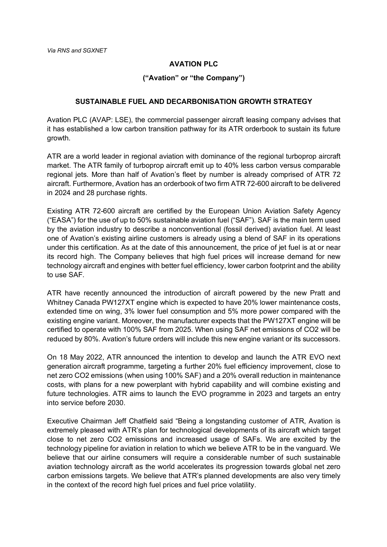## **AVATION PLC**

## **("Avation" or "the Company")**

## **SUSTAINABLE FUEL AND DECARBONISATION GROWTH STRATEGY**

Avation PLC (AVAP: LSE), the commercial passenger aircraft leasing company advises that it has established a low carbon transition pathway for its ATR orderbook to sustain its future growth.

ATR are a world leader in regional aviation with dominance of the regional turboprop aircraft market. The ATR family of turboprop aircraft emit up to 40% less carbon versus comparable regional jets. More than half of Avation's fleet by number is already comprised of ATR 72 aircraft. Furthermore, Avation has an orderbook of two firm ATR 72-600 aircraft to be delivered in 2024 and 28 purchase rights.

Existing ATR 72-600 aircraft are certified by the European Union Aviation Safety Agency ("EASA") for the use of up to 50% sustainable aviation fuel ("SAF"). SAF is the main term used by the aviation industry to describe a nonconventional (fossil derived) aviation fuel. At least one of Avation's existing airline customers is already using a blend of SAF in its operations under this certification. As at the date of this announcement, the price of jet fuel is at or near its record high. The Company believes that high fuel prices will increase demand for new technology aircraft and engines with better fuel efficiency, lower carbon footprint and the ability to use SAF.

ATR have recently announced the introduction of aircraft powered by the new Pratt and Whitney Canada PW127XT engine which is expected to have 20% lower maintenance costs, extended time on wing, 3% lower fuel consumption and 5% more power compared with the existing engine variant. Moreover, the manufacturer expects that the PW127XT engine will be certified to operate with 100% SAF from 2025. When using SAF net emissions of CO2 will be reduced by 80%. Avation's future orders will include this new engine variant or its successors.

On 18 May 2022, ATR announced the intention to develop and launch the ATR EVO next generation aircraft programme, targeting a further 20% fuel efficiency improvement, close to net zero CO2 emissions (when using 100% SAF) and a 20% overall reduction in maintenance costs, with plans for a new powerplant with hybrid capability and will combine existing and future technologies. ATR aims to launch the EVO programme in 2023 and targets an entry into service before 2030.

Executive Chairman Jeff Chatfield said "Being a longstanding customer of ATR, Avation is extremely pleased with ATR's plan for technological developments of its aircraft which target close to net zero CO2 emissions and increased usage of SAFs. We are excited by the technology pipeline for aviation in relation to which we believe ATR to be in the vanguard. We believe that our airline consumers will require a considerable number of such sustainable aviation technology aircraft as the world accelerates its progression towards global net zero carbon emissions targets. We believe that ATR's planned developments are also very timely in the context of the record high fuel prices and fuel price volatility.